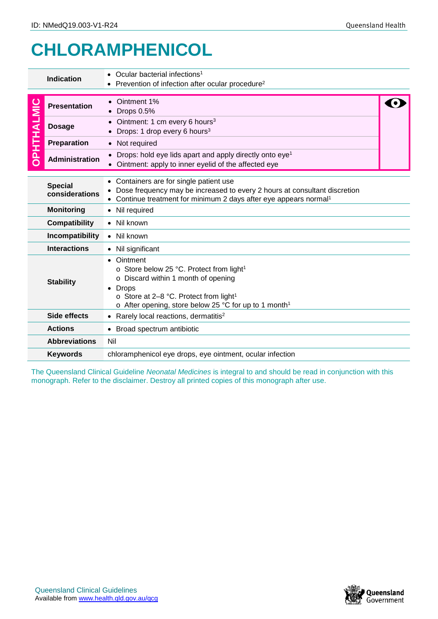## **CHLORAMPHENICOL**

| <b>Indication</b>                         |                                                                                                                                                                                                                                       | Ocular bacterial infections <sup>1</sup><br>Prevention of infection after ocular procedure <sup>2</sup>                                                                                                                                                  |  |  |  |
|-------------------------------------------|---------------------------------------------------------------------------------------------------------------------------------------------------------------------------------------------------------------------------------------|----------------------------------------------------------------------------------------------------------------------------------------------------------------------------------------------------------------------------------------------------------|--|--|--|
| OPHTHALMIC                                | <b>Presentation</b>                                                                                                                                                                                                                   | Ointment 1%<br><b>Drops 0.5%</b><br>Ointment: 1 cm every 6 hours <sup>3</sup>                                                                                                                                                                            |  |  |  |
|                                           | <b>Dosage</b>                                                                                                                                                                                                                         | Drops: 1 drop every 6 hours <sup>3</sup>                                                                                                                                                                                                                 |  |  |  |
|                                           | Preparation                                                                                                                                                                                                                           | • Not required                                                                                                                                                                                                                                           |  |  |  |
|                                           | <b>Administration</b>                                                                                                                                                                                                                 | Drops: hold eye lids apart and apply directly onto eye <sup>1</sup><br>Ointment: apply to inner eyelid of the affected eye                                                                                                                               |  |  |  |
|                                           | Containers are for single patient use<br><b>Special</b><br>Dose frequency may be increased to every 2 hours at consultant discretion<br>considerations<br>Continue treatment for minimum 2 days after eye appears normal <sup>1</sup> |                                                                                                                                                                                                                                                          |  |  |  |
| <b>Monitoring</b>                         |                                                                                                                                                                                                                                       | • Nil required                                                                                                                                                                                                                                           |  |  |  |
| <b>Compatibility</b>                      |                                                                                                                                                                                                                                       | • Nil known                                                                                                                                                                                                                                              |  |  |  |
| Incompatibility<br>Nil known<br>$\bullet$ |                                                                                                                                                                                                                                       |                                                                                                                                                                                                                                                          |  |  |  |
| <b>Interactions</b>                       |                                                                                                                                                                                                                                       | • Nil significant                                                                                                                                                                                                                                        |  |  |  |
| <b>Stability</b>                          |                                                                                                                                                                                                                                       | Ointment<br>o Store below 25 °C. Protect from light <sup>1</sup><br>o Discard within 1 month of opening<br><b>Drops</b><br>$\circ$ Store at 2–8 °C. Protect from light <sup>1</sup><br>o After opening, store below 25 °C for up to 1 month <sup>1</sup> |  |  |  |
|                                           | Side effects                                                                                                                                                                                                                          | • Rarely local reactions, dermatitis <sup>2</sup>                                                                                                                                                                                                        |  |  |  |
|                                           | <b>Actions</b>                                                                                                                                                                                                                        | • Broad spectrum antibiotic                                                                                                                                                                                                                              |  |  |  |
|                                           | <b>Abbreviations</b>                                                                                                                                                                                                                  | Nil                                                                                                                                                                                                                                                      |  |  |  |
| <b>Keywords</b>                           |                                                                                                                                                                                                                                       | chloramphenicol eye drops, eye ointment, ocular infection                                                                                                                                                                                                |  |  |  |

The Queensland Clinical Guideline *Neonatal Medicines* is integral to and should be read in conjunction with this monograph. Refer to the disclaimer. Destroy all printed copies of this monograph after use.